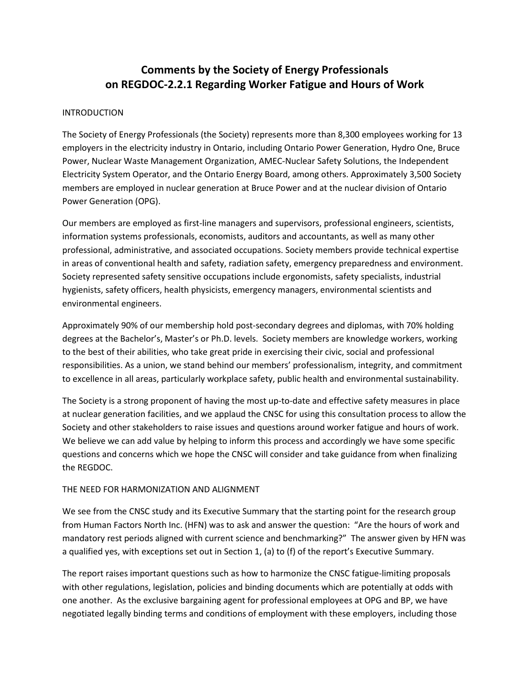# **Comments by the Society of Energy Professionals on REGDOC-2.2.1 Regarding Worker Fatigue and Hours of Work**

#### INTRODUCTION

 The Society of Energy Professionals (the Society) represents more than 8,300 employees working for 13 employers in the electricity industry in Ontario, including Ontario Power Generation, Hydro One, Bruce Power, Nuclear Waste Management Organization, AMEC-Nuclear Safety Solutions, the Independent Electricity System Operator, and the Ontario Energy Board, among others. Approximately 3,500 Society members are employed in nuclear generation at Bruce Power and at the nuclear division of Ontario Power Generation (OPG).

 Society represented safety sensitive occupations include ergonomists, safety specialists, industrial hygienists, safety officers, health physicists, emergency managers, environmental scientists and Our members are employed as first-line managers and supervisors, professional engineers, scientists, information systems professionals, economists, auditors and accountants, as well as many other professional, administrative, and associated occupations. Society members provide technical expertise in areas of conventional health and safety, radiation safety, emergency preparedness and environment. environmental engineers.

 degrees at the Bachelor's, Master's or Ph.D. levels. Society members are knowledge workers, working to the best of their abilities, who take great pride in exercising their civic, social and professional to excellence in all areas, particularly workplace safety, public health and environmental sustainability. Approximately 90% of our membership hold post-secondary degrees and diplomas, with 70% holding responsibilities. As a union, we stand behind our members' professionalism, integrity, and commitment

to excellence in all areas, particularly workplace safety, public health and environmental sustainability.<br>The Society is a strong proponent of having the most up-to-date and effective safety measures in place at nuclear generation facilities, and we applaud the CNSC for using this consultation process to allow the Society and other stakeholders to raise issues and questions around worker fatigue and hours of work. the REGDOC. We believe we can add value by helping to inform this process and accordingly we have some specific questions and concerns which we hope the CNSC will consider and take guidance from when finalizing

## THE NEED FOR HARMONIZATION AND ALIGNMENT

 from Human Factors North Inc. (HFN) was to ask and answer the question: "Are the hours of work and a qualified yes, with exceptions set out in Section 1, (a) to (f) of the report's Executive Summary. We see from the CNSC study and its Executive Summary that the starting point for the research group mandatory rest periods aligned with current science and benchmarking?" The answer given by HFN was

 The report raises important questions such as how to harmonize the CNSC fatigue-limiting proposals negotiated legally binding terms and conditions of employment with these employers, including those with other regulations, legislation, policies and binding documents which are potentially at odds with one another. As the exclusive bargaining agent for professional employees at OPG and BP, we have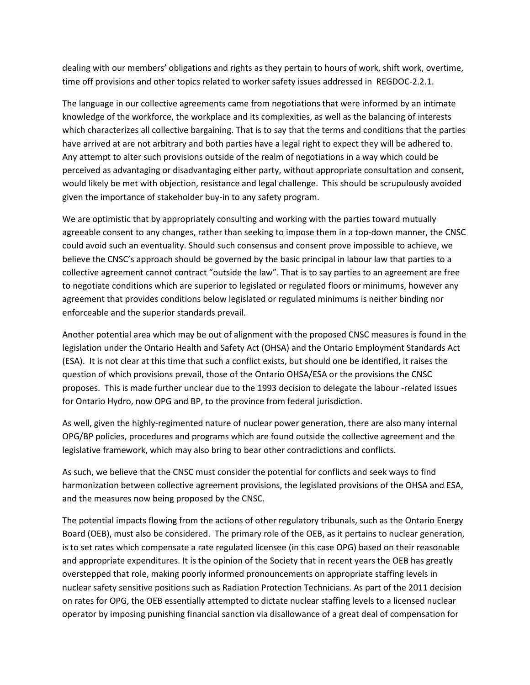time off provisions and other topics related to worker safety issues addressed in REGDOC-2.2.1. dealing with our members' obligations and rights as they pertain to hours of work, shift work, overtime,

 The language in our collective agreements came from negotiations that were informed by an intimate perceived as advantaging or disadvantaging either party, without appropriate consultation and consent, would likely be met with objection, resistance and legal challenge. This should be scrupulously avoided knowledge of the workforce, the workplace and its complexities, as well as the balancing of interests which characterizes all collective bargaining. That is to say that the terms and conditions that the parties have arrived at are not arbitrary and both parties have a legal right to expect they will be adhered to. Any attempt to alter such provisions outside of the realm of negotiations in a way which could be given the importance of stakeholder buy-in to any safety program.

 We are optimistic that by appropriately consulting and working with the parties toward mutually agreeable consent to any changes, rather than seeking to impose them in a top-down manner, the CNSC collective agreement cannot contract "outside the law". That is to say parties to an agreement are free agreement that provides conditions below legislated or regulated minimums is neither binding nor enforceable and the superior standards prevail. could avoid such an eventuality. Should such consensus and consent prove impossible to achieve, we believe the CNSC's approach should be governed by the basic principal in labour law that parties to a to negotiate conditions which are superior to legislated or regulated floors or minimums, however any

 (ESA). It is not clear at this time that such a conflict exists, but should one be identified, it raises the question of which provisions prevail, those of the Ontario OHSA/ESA or the provisions the CNSC Another potential area which may be out of alignment with the proposed CNSC measures is found in the legislation under the Ontario Health and Safety Act (OHSA) and the Ontario Employment Standards Act proposes. This is made further unclear due to the 1993 decision to delegate the labour -related issues for Ontario Hydro, now OPG and BP, to the province from federal jurisdiction.

As well, given the highly-regimented nature of nuclear power generation, there are also many internal OPG/BP policies, procedures and programs which are found outside the collective agreement and the legislative framework, which may also bring to bear other contradictions and conflicts.

 As such, we believe that the CNSC must consider the potential for conflicts and seek ways to find harmonization between collective agreement provisions, the legislated provisions of the OHSA and ESA, and the measures now being proposed by the CNSC.

 Board (OEB), must also be considered. The primary role of the OEB, as it pertains to nuclear generation, is to set rates which compensate a rate regulated licensee (in this case OPG) based on their reasonable and appropriate expenditures. It is the opinion of the Society that in recent years the OEB has greatly overstepped that role, making poorly informed pronouncements on appropriate staffing levels in nuclear safety sensitive positions such as Radiation Protection Technicians. As part of the 2011 decision The potential impacts flowing from the actions of other regulatory tribunals, such as the Ontario Energy on rates for OPG, the OEB essentially attempted to dictate nuclear staffing levels to a licensed nuclear operator by imposing punishing financial sanction via disallowance of a great deal of compensation for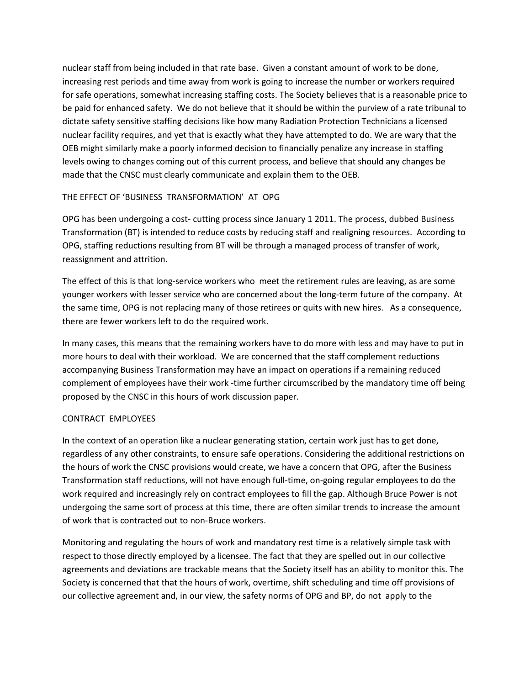nuclear staff from being included in that rate base. Given a constant amount of work to be done, for safe operations, somewhat increasing staffing costs. The Society believes that is a reasonable price to be paid for enhanced safety. We do not believe that it should be within the purview of a rate tribunal to dictate safety sensitive staffing decisions like how many Radiation Protection Technicians a licensed nuclear facility requires, and yet that is exactly what they have attempted to do. We are wary that the made that the CNSC must clearly communicate and explain them to the OEB. increasing rest periods and time away from work is going to increase the number or workers required OEB might similarly make a poorly informed decision to financially penalize any increase in staffing levels owing to changes coming out of this current process, and believe that should any changes be

# THE EFFECT OF 'BUSINESS TRANSFORMATION' AT OPG

 OPG has been undergoing a cost- cutting process since January 1 2011. The process, dubbed Business Transformation (BT) is intended to reduce costs by reducing staff and realigning resources. According to OPG, staffing reductions resulting from BT will be through a managed process of transfer of work, reassignment and attrition.

 The effect of this is that long-service workers who meet the retirement rules are leaving, as are some younger workers with lesser service who are concerned about the long-term future of the company. At the same time, OPG is not replacing many of those retirees or quits with new hires. As a consequence, there are fewer workers left to do the required work.

 In many cases, this means that the remaining workers have to do more with less and may have to put in more hours to deal with their workload. We are concerned that the staff complement reductions accompanying Business Transformation may have an impact on operations if a remaining reduced complement of employees have their work -time further circumscribed by the mandatory time off being proposed by the CNSC in this hours of work discussion paper.

## CONTRACT EMPLOYEES

 regardless of any other constraints, to ensure safe operations. Considering the additional restrictions on work required and increasingly rely on contract employees to fill the gap. Although Bruce Power is not In the context of an operation like a nuclear generating station, certain work just has to get done, the hours of work the CNSC provisions would create, we have a concern that OPG, after the Business Transformation staff reductions, will not have enough full-time, on-going regular employees to do the undergoing the same sort of process at this time, there are often similar trends to increase the amount of work that is contracted out to non-Bruce workers.

 Monitoring and regulating the hours of work and mandatory rest time is a relatively simple task with respect to those directly employed by a licensee. The fact that they are spelled out in our collective Society is concerned that that the hours of work, overtime, shift scheduling and time off provisions of our collective agreement and, in our view, the safety norms of OPG and BP, do not apply to the agreements and deviations are trackable means that the Society itself has an ability to monitor this. The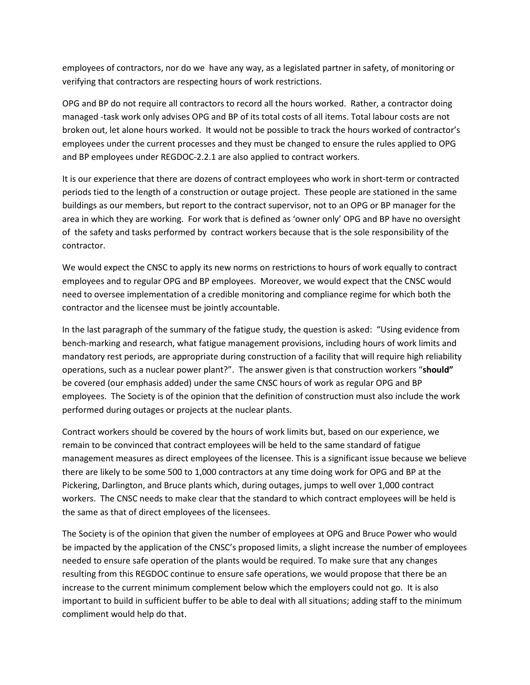employees of contractors, nor do we have any way, as a legislated partner in safety, of monitoring or verifying that contractors are respecting hours of work restrictions.

 OPG and BP do not require all contractors to record all the hours worked. Rather, a contractor doing managed -task work only advises OPG and BP of its total costs of all items. Total labour costs are not broken out, let alone hours worked. It would not be possible to track the hours worked of contractor's employees under the current processes and they must be changed to ensure the rules applied to OPG and BP employees under REGDOC-2.2.1 are also applied to contract workers.

 It is our experience that there are dozens of contract employees who work in short-term or contracted buildings as our members, but report to the contract supervisor, not to an OPG or BP manager for the area in which they are working. For work that is defined as 'owner only' OPG and BP have no oversight of the safety and tasks performed by contract workers because that is the sole responsibility of the periods tied to the length of a construction or outage project. These people are stationed in the same contractor.

 We would expect the CNSC to apply its new norms on restrictions to hours of work equally to contract employees and to regular OPG and BP employees. Moreover, we would expect that the CNSC would need to oversee implementation of a credible monitoring and compliance regime for which both the contractor and the licensee must be jointly accountable.

 In the last paragraph of the summary of the fatigue study, the question is asked: "Using evidence from bench-marking and research, what fatigue management provisions, including hours of work limits and mandatory rest periods, are appropriate during construction of a facility that will require high reliability operations, such as a nuclear power plant?". The answer given is that construction workers "**should"**  be covered (our emphasis added) under the same CNSC hours of work as regular OPG and BP employees. The Society is of the opinion that the definition of construction must also include the work performed during outages or projects at the nuclear plants.

 Contract workers should be covered by the hours of work limits but, based on our experience, we management measures as direct employees of the licensee. This is a significant issue because we believe Pickering, Darlington, and Bruce plants which, during outages, jumps to well over 1,000 contract workers. The CNSC needs to make clear that the standard to which contract employees will be held is remain to be convinced that contract employees will be held to the same standard of fatigue there are likely to be some 500 to 1,000 contractors at any time doing work for OPG and BP at the the same as that of direct employees of the licensees.

 The Society is of the opinion that given the number of employees at OPG and Bruce Power who would needed to ensure safe operation of the plants would be required. To make sure that any changes resulting from this REGDOC continue to ensure safe operations, we would propose that there be an increase to the current minimum complement below which the employers could not go. It is also important to build in sufficient buffer to be able to deal with all situations; adding staff to the minimum compliment would help do that. be impacted by the application of the CNSC's proposed limits, a slight increase the number of employees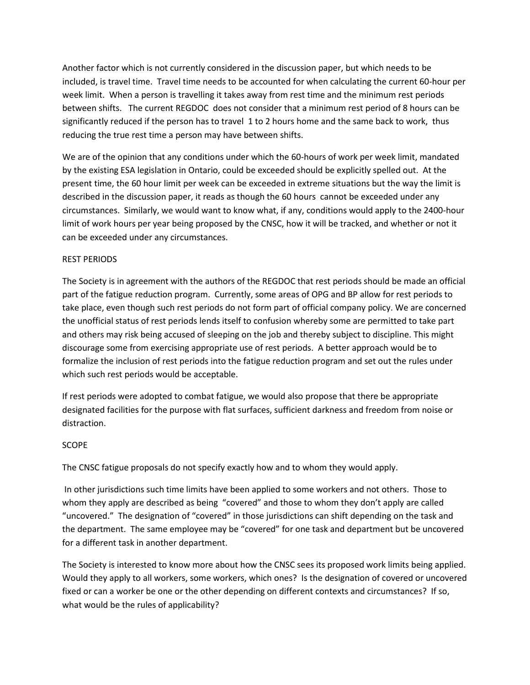Another factor which is not currently considered in the discussion paper, but which needs to be included, is travel time. Travel time needs to be accounted for when calculating the current 60-hour per week limit. When a person is travelling it takes away from rest time and the minimum rest periods between shifts. The current REGDOC does not consider that a minimum rest period of 8 hours can be significantly reduced if the person has to travel 1 to 2 hours home and the same back to work, thus reducing the true rest time a person may have between shifts.

reducing the true rest time a person may have between shifts.<br>We are of the opinion that any conditions under which the 60-hours of work per week limit, mandated by the existing ESA legislation in Ontario, could be exceeded should be explicitly spelled out. At the circumstances. Similarly, we would want to know what, if any, conditions would apply to the 2400-hour limit of work hours per year being proposed by the CNSC, how it will be tracked, and whether or not it present time, the 60 hour limit per week can be exceeded in extreme situations but the way the limit is described in the discussion paper, it reads as though the 60 hours cannot be exceeded under any can be exceeded under any circumstances.

## REST PERIODS

 The Society is in agreement with the authors of the REGDOC that rest periods should be made an official take place, even though such rest periods do not form part of official company policy. We are concerned the unofficial status of rest periods lends itself to confusion whereby some are permitted to take part and others may risk being accused of sleeping on the job and thereby subject to discipline. This might part of the fatigue reduction program. Currently, some areas of OPG and BP allow for rest periods to discourage some from exercising appropriate use of rest periods. A better approach would be to formalize the inclusion of rest periods into the fatigue reduction program and set out the rules under which such rest periods would be acceptable.

 If rest periods were adopted to combat fatigue, we would also propose that there be appropriate designated facilities for the purpose with flat surfaces, sufficient darkness and freedom from noise or distraction.

## SCOPE

The CNSC fatigue proposals do not specify exactly how and to whom they would apply.

 In other jurisdictions such time limits have been applied to some workers and not others. Those to whom they apply are described as being "covered" and those to whom they don't apply are called "uncovered." The designation of "covered" in those jurisdictions can shift depending on the task and the department. The same employee may be "covered" for one task and department but be uncovered for a different task in another department.

The Society is interested to know more about how the CNSC sees its proposed work limits being applied. what would be the rules of applicability? Would they apply to all workers, some workers, which ones? Is the designation of covered or uncovered fixed or can a worker be one or the other depending on different contexts and circumstances? If so,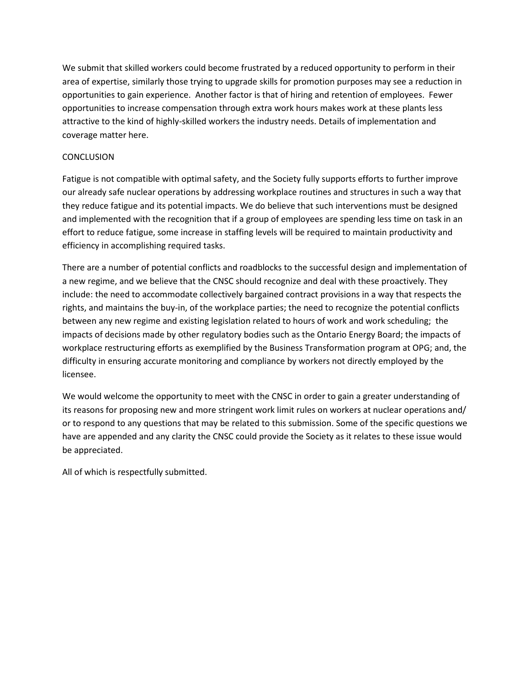We submit that skilled workers could become frustrated by a reduced opportunity to perform in their opportunities to gain experience. Another factor is that of hiring and retention of employees. Fewer attractive to the kind of highly-skilled workers the industry needs. Details of implementation and area of expertise, similarly those trying to upgrade skills for promotion purposes may see a reduction in opportunities to increase compensation through extra work hours makes work at these plants less coverage matter here.

## **CONCLUSION**

CONCLUSION<br>Fatigue is not compatible with optimal safety, and the Society fully supports efforts to further improve effort to reduce fatigue, some increase in staffing levels will be required to maintain productivity and our already safe nuclear operations by addressing workplace routines and structures in such a way that they reduce fatigue and its potential impacts. We do believe that such interventions must be designed and implemented with the recognition that if a group of employees are spending less time on task in an efficiency in accomplishing required tasks.

 a new regime, and we believe that the CNSC should recognize and deal with these proactively. They rights, and maintains the buy-in, of the workplace parties; the need to recognize the potential conflicts impacts of decisions made by other regulatory bodies such as the Ontario Energy Board; the impacts of workplace restructuring efforts as exemplified by the Business Transformation program at OPG; and, the There are a number of potential conflicts and roadblocks to the successful design and implementation of include: the need to accommodate collectively bargained contract provisions in a way that respects the between any new regime and existing legislation related to hours of work and work scheduling; the difficulty in ensuring accurate monitoring and compliance by workers not directly employed by the licensee.

 its reasons for proposing new and more stringent work limit rules on workers at nuclear operations and/ or to respond to any questions that may be related to this submission. Some of the specific questions we have are appended and any clarity the CNSC could provide the Society as it relates to these issue would We would welcome the opportunity to meet with the CNSC in order to gain a greater understanding of be appreciated.

All of which is respectfully submitted.